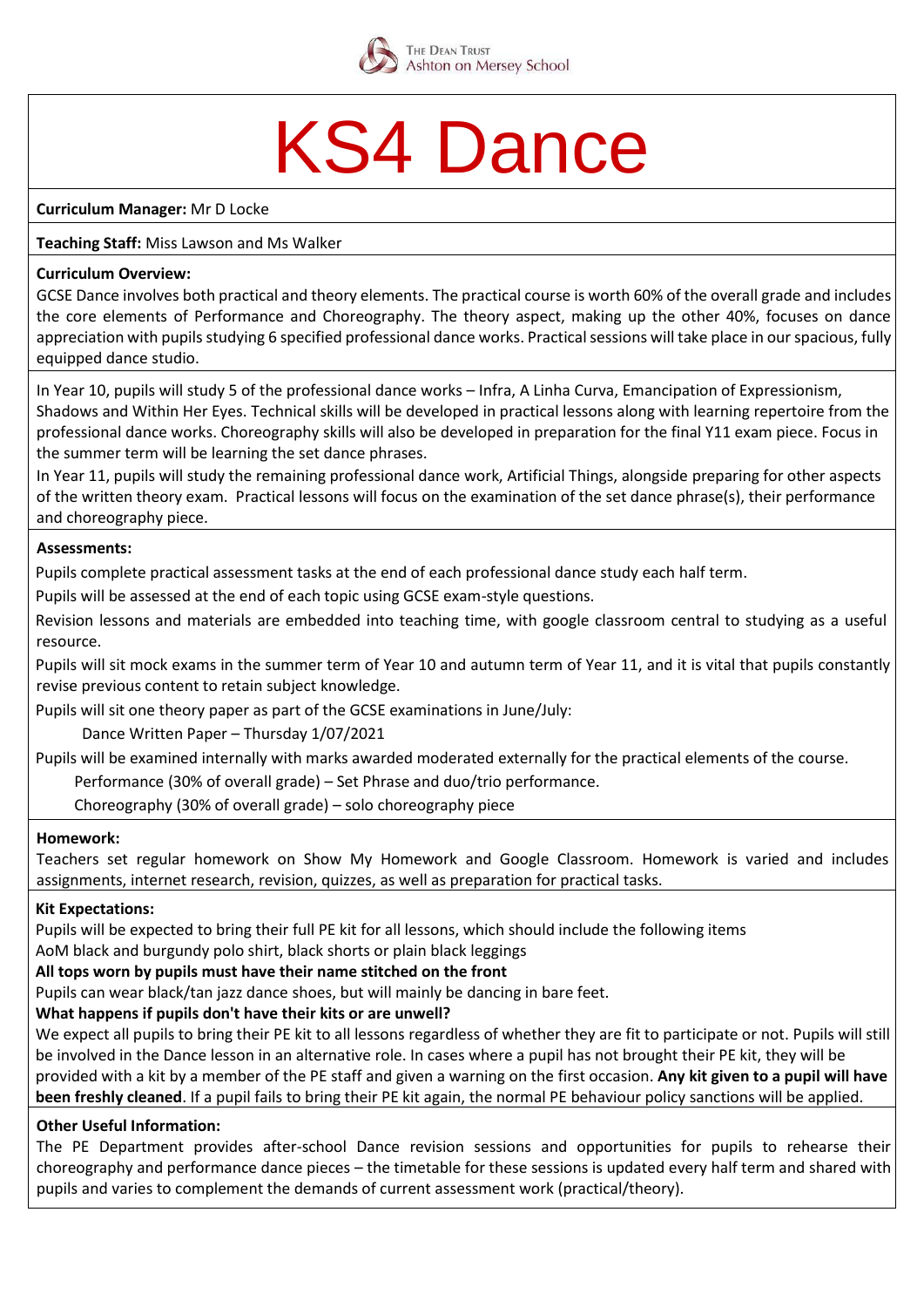

## KS4 Dance

**Curriculum Manager:** Mr D Locke

## **Teaching Staff:** Miss Lawson and Ms Walker

#### **Curriculum Overview:**

GCSE Dance involves both practical and theory elements. The practical course is worth 60% of the overall grade and includes the core elements of Performance and Choreography. The theory aspect, making up the other 40%, focuses on dance appreciation with pupils studying 6 specified professional dance works. Practical sessions will take place in our spacious, fully equipped dance studio.

In Year 10, pupils will study 5 of the professional dance works – Infra, A Linha Curva, Emancipation of Expressionism, Shadows and Within Her Eyes. Technical skills will be developed in practical lessons along with learning repertoire from the professional dance works. Choreography skills will also be developed in preparation for the final Y11 exam piece. Focus in the summer term will be learning the set dance phrases.

In Year 11, pupils will study the remaining professional dance work, Artificial Things, alongside preparing for other aspects of the written theory exam. Practical lessons will focus on the examination of the set dance phrase(s), their performance and choreography piece.

## **Assessments:**

Pupils complete practical assessment tasks at the end of each professional dance study each half term.

Pupils will be assessed at the end of each topic using GCSE exam-style questions.

Revision lessons and materials are embedded into teaching time, with google classroom central to studying as a useful resource.

Pupils will sit mock exams in the summer term of Year 10 and autumn term of Year 11, and it is vital that pupils constantly revise previous content to retain subject knowledge.

Pupils will sit one theory paper as part of the GCSE examinations in June/July:

Dance Written Paper – Thursday 1/07/2021

Pupils will be examined internally with marks awarded moderated externally for the practical elements of the course.

Performance (30% of overall grade) – Set Phrase and duo/trio performance.

Choreography (30% of overall grade) – solo choreography piece

#### **Homework:**

Teachers set regular homework on Show My Homework and Google Classroom. Homework is varied and includes assignments, internet research, revision, quizzes, as well as preparation for practical tasks.

#### **Kit Expectations:**

Pupils will be expected to bring their full PE kit for all lessons, which should include the following items

AoM black and burgundy polo shirt, black shorts or plain black leggings

## **All tops worn by pupils must have their name stitched on the front**

Pupils can wear black/tan jazz dance shoes, but will mainly be dancing in bare feet.

## **What happens if pupils don't have their kits or are unwell?**

We expect all pupils to bring their PE kit to all lessons regardless of whether they are fit to participate or not. Pupils will still be involved in the Dance lesson in an alternative role. In cases where a pupil has not brought their PE kit, they will be provided with a kit by a member of the PE staff and given a warning on the first occasion. **Any kit given to a pupil will have been freshly cleaned**. If a pupil fails to bring their PE kit again, the normal PE behaviour policy sanctions will be applied.

## **Other Useful Information:**

The PE Department provides after-school Dance revision sessions and opportunities for pupils to rehearse their choreography and performance dance pieces – the timetable for these sessions is updated every half term and shared with pupils and varies to complement the demands of current assessment work (practical/theory).